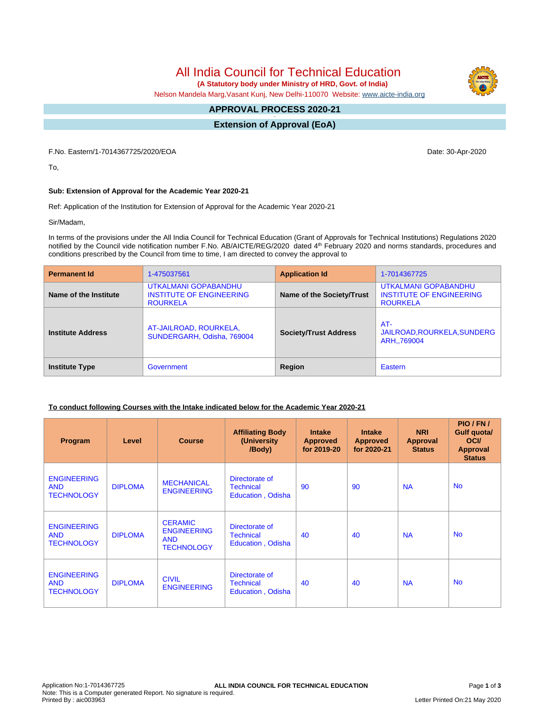# All India Council for Technical Education

 **(A Statutory body under Ministry of HRD, Govt. of India)**

Nelson Mandela Marg,Vasant Kunj, New Delhi-110070 Website: [www.aicte-india.org](http://www.aicte-india.org)

#### **APPROVAL PROCESS 2020-21 -**

**Extension of Approval (EoA)**

F.No. Eastern/1-7014367725/2020/EOA Date: 30-Apr-2020

To,

### **Sub: Extension of Approval for the Academic Year 2020-21**

Ref: Application of the Institution for Extension of Approval for the Academic Year 2020-21

Sir/Madam,

In terms of the provisions under the All India Council for Technical Education (Grant of Approvals for Technical Institutions) Regulations 2020 notified by the Council vide notification number F.No. AB/AICTE/REG/2020 dated 4<sup>th</sup> February 2020 and norms standards, procedures and conditions prescribed by the Council from time to time, I am directed to convey the approval to

| <b>Permanent Id</b>                 | 1-475037561                                                                | <b>Application Id</b>        | 1-7014367725                                                               |  |  |
|-------------------------------------|----------------------------------------------------------------------------|------------------------------|----------------------------------------------------------------------------|--|--|
| Name of the Institute               | UTKALMANI GOPABANDHU<br><b>INSTITUTE OF ENGINEERING</b><br><b>ROURKELA</b> | Name of the Society/Trust    | UTKALMANI GOPABANDHU<br><b>INSTITUTE OF ENGINEERING</b><br><b>ROURKELA</b> |  |  |
| <b>Institute Address</b>            | AT-JAILROAD, ROURKELA,<br>SUNDERGARH, Odisha, 769004                       | <b>Society/Trust Address</b> | $AT -$<br>JAILROAD, ROURKELA, SUNDERG<br>ARH.,769004                       |  |  |
| Government<br><b>Institute Type</b> |                                                                            | Region                       | Eastern                                                                    |  |  |

#### **To conduct following Courses with the Intake indicated below for the Academic Year 2020-21**

| Program                                               | Level          | <b>Course</b>                                                           | <b>Affiliating Body</b><br>(University)<br>/Body)       | <b>Intake</b><br><b>Approved</b><br>for 2019-20 | <b>Intake</b><br><b>Approved</b><br>for 2020-21 | <b>NRI</b><br>Approval<br><b>Status</b> | PIO / FN /<br><b>Gulf quotal</b><br><b>OCI</b><br><b>Approval</b><br><b>Status</b> |
|-------------------------------------------------------|----------------|-------------------------------------------------------------------------|---------------------------------------------------------|-------------------------------------------------|-------------------------------------------------|-----------------------------------------|------------------------------------------------------------------------------------|
| <b>ENGINEERING</b><br><b>AND</b><br><b>TECHNOLOGY</b> | <b>DIPLOMA</b> | <b>MECHANICAL</b><br><b>ENGINEERING</b>                                 | Directorate of<br><b>Technical</b><br>Education, Odisha | 90                                              | 90                                              | <b>NA</b>                               | <b>No</b>                                                                          |
| <b>ENGINEERING</b><br><b>AND</b><br><b>TECHNOLOGY</b> | <b>DIPLOMA</b> | <b>CERAMIC</b><br><b>ENGINEERING</b><br><b>AND</b><br><b>TECHNOLOGY</b> | Directorate of<br><b>Technical</b><br>Education, Odisha | 40                                              | 40                                              | <b>NA</b>                               | <b>No</b>                                                                          |
| <b>ENGINEERING</b><br><b>AND</b><br><b>TECHNOLOGY</b> | <b>DIPLOMA</b> | <b>CIVIL</b><br><b>ENGINEERING</b>                                      | Directorate of<br><b>Technical</b><br>Education, Odisha | 40                                              | 40                                              | <b>NA</b>                               | <b>No</b>                                                                          |

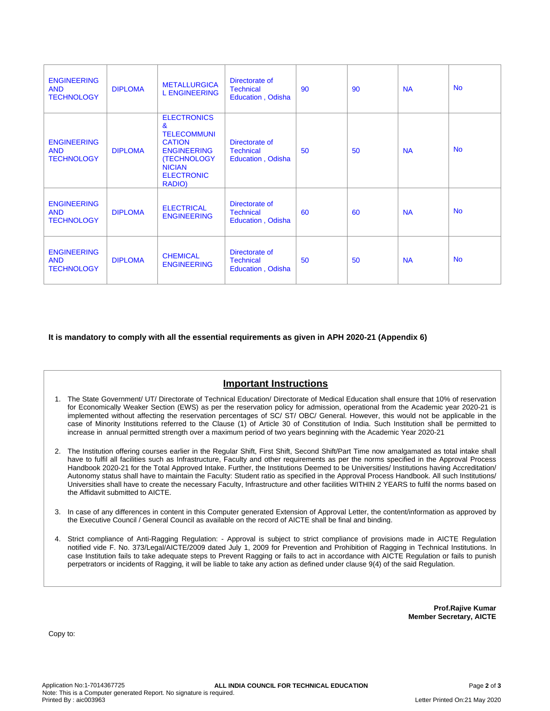| <b>ENGINEERING</b><br><b>AND</b><br><b>TECHNOLOGY</b> | <b>DIPLOMA</b> | <b>METALLURGICA</b><br><b>L ENGINEERING</b>                                                                                                                            | Directorate of<br><b>Technical</b><br><b>Education, Odisha</b> | 90 | 90 | <b>NA</b> | <b>No</b> |
|-------------------------------------------------------|----------------|------------------------------------------------------------------------------------------------------------------------------------------------------------------------|----------------------------------------------------------------|----|----|-----------|-----------|
| <b>ENGINEERING</b><br><b>AND</b><br><b>TECHNOLOGY</b> | <b>DIPLOMA</b> | <b>ELECTRONICS</b><br>$\mathbf{a}$<br><b>TELECOMMUNI</b><br><b>CATION</b><br><b>ENGINEERING</b><br><b>(TECHNOLOGY)</b><br><b>NICIAN</b><br><b>ELECTRONIC</b><br>RADIO) | Directorate of<br><b>Technical</b><br>Education, Odisha        | 50 | 50 | <b>NA</b> | <b>No</b> |
| <b>ENGINEERING</b><br><b>AND</b><br><b>TECHNOLOGY</b> | <b>DIPLOMA</b> | <b>ELECTRICAL</b><br><b>ENGINEERING</b>                                                                                                                                | Directorate of<br><b>Technical</b><br>Education, Odisha        | 60 | 60 | <b>NA</b> | <b>No</b> |
| <b>ENGINEERING</b><br><b>AND</b><br><b>TECHNOLOGY</b> | <b>DIPLOMA</b> | <b>CHEMICAL</b><br><b>ENGINEERING</b>                                                                                                                                  | Directorate of<br><b>Technical</b><br>Education, Odisha        | 50 | 50 | <b>NA</b> | <b>No</b> |

**It is mandatory to comply with all the essential requirements as given in APH 2020-21 (Appendix 6)**

## **Important Instructions**

- 1. The State Government/ UT/ Directorate of Technical Education/ Directorate of Medical Education shall ensure that 10% of reservation for Economically Weaker Section (EWS) as per the reservation policy for admission, operational from the Academic year 2020-21 is implemented without affecting the reservation percentages of SC/ ST/ OBC/ General. However, this would not be applicable in the case of Minority Institutions referred to the Clause (1) of Article 30 of Constitution of India. Such Institution shall be permitted to increase in annual permitted strength over a maximum period of two years beginning with the Academic Year 2020-21
- 2. The Institution offering courses earlier in the Regular Shift, First Shift, Second Shift/Part Time now amalgamated as total intake shall have to fulfil all facilities such as Infrastructure, Faculty and other requirements as per the norms specified in the Approval Process Handbook 2020-21 for the Total Approved Intake. Further, the Institutions Deemed to be Universities/ Institutions having Accreditation/ Autonomy status shall have to maintain the Faculty: Student ratio as specified in the Approval Process Handbook. All such Institutions/ Universities shall have to create the necessary Faculty, Infrastructure and other facilities WITHIN 2 YEARS to fulfil the norms based on the Affidavit submitted to AICTE.
- 3. In case of any differences in content in this Computer generated Extension of Approval Letter, the content/information as approved by the Executive Council / General Council as available on the record of AICTE shall be final and binding.
- 4. Strict compliance of Anti-Ragging Regulation: Approval is subject to strict compliance of provisions made in AICTE Regulation notified vide F. No. 373/Legal/AICTE/2009 dated July 1, 2009 for Prevention and Prohibition of Ragging in Technical Institutions. In case Institution fails to take adequate steps to Prevent Ragging or fails to act in accordance with AICTE Regulation or fails to punish perpetrators or incidents of Ragging, it will be liable to take any action as defined under clause 9(4) of the said Regulation.

**Prof.Rajive Kumar Member Secretary, AICTE**

Copy to: